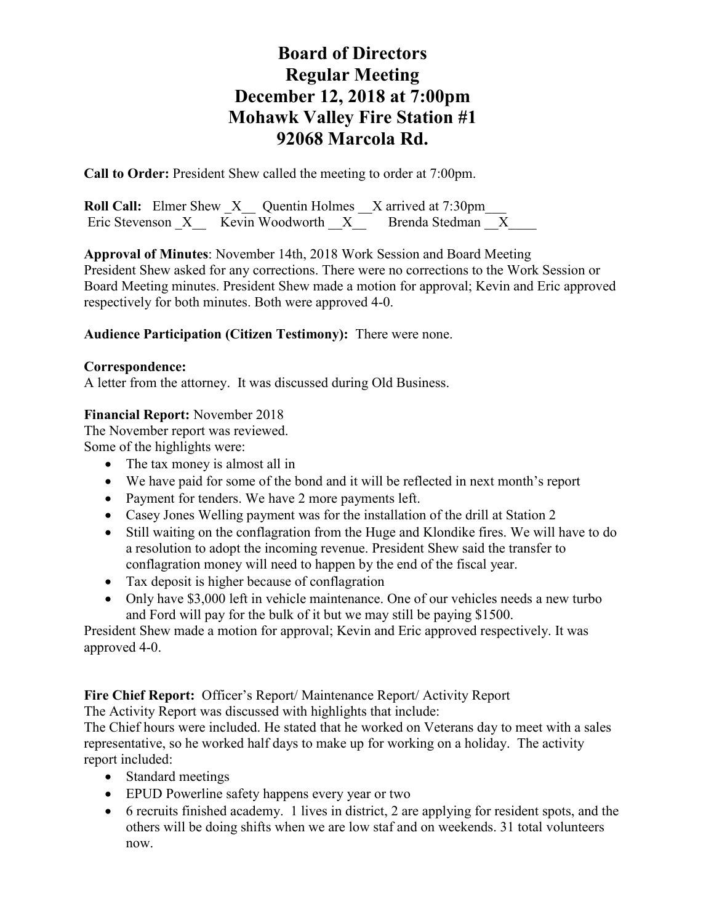**Call to Order:** President Shew called the meeting to order at 7:00pm.

**Roll Call:** Elmer Shew X Quentin Holmes X arrived at 7:30pm Eric Stevenson X Kevin Woodworth X Brenda Stedman X

**Approval of Minutes**: November 14th, 2018 Work Session and Board Meeting President Shew asked for any corrections. There were no corrections to the Work Session or Board Meeting minutes. President Shew made a motion for approval; Kevin and Eric approved respectively for both minutes. Both were approved 4-0.

### **Audience Participation (Citizen Testimony):** There were none.

#### **Correspondence:**

A letter from the attorney. It was discussed during Old Business.

#### **Financial Report:** November 2018

The November report was reviewed. Some of the highlights were:

- The tax money is almost all in
- We have paid for some of the bond and it will be reflected in next month's report
- Payment for tenders. We have 2 more payments left.
- Casey Jones Welling payment was for the installation of the drill at Station 2
- Still waiting on the conflagration from the Huge and Klondike fires. We will have to do a resolution to adopt the incoming revenue. President Shew said the transfer to conflagration money will need to happen by the end of the fiscal year.
- Tax deposit is higher because of conflagration
- Only have \$3,000 left in vehicle maintenance. One of our vehicles needs a new turbo and Ford will pay for the bulk of it but we may still be paying \$1500.

President Shew made a motion for approval; Kevin and Eric approved respectively. It was approved 4-0.

**Fire Chief Report:** Officer's Report/ Maintenance Report/ Activity Report

The Activity Report was discussed with highlights that include:

The Chief hours were included. He stated that he worked on Veterans day to meet with a sales representative, so he worked half days to make up for working on a holiday. The activity report included:

- Standard meetings
- EPUD Powerline safety happens every year or two
- 6 recruits finished academy. 1 lives in district, 2 are applying for resident spots, and the others will be doing shifts when we are low staf and on weekends. 31 total volunteers now.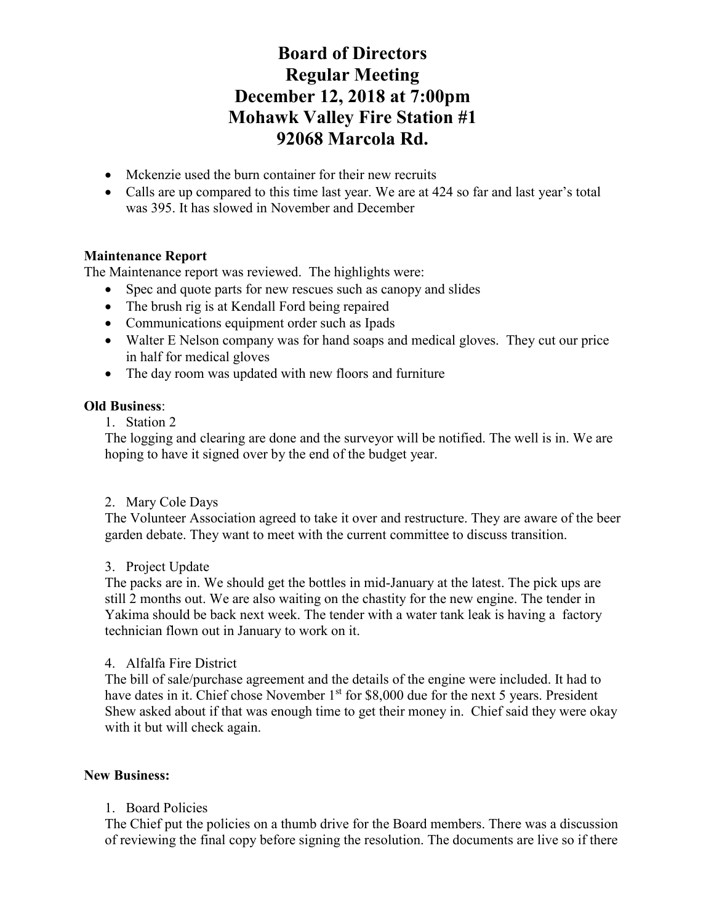- Mckenzie used the burn container for their new recruits
- Calls are up compared to this time last year. We are at 424 so far and last year's total was 395. It has slowed in November and December

## **Maintenance Report**

The Maintenance report was reviewed. The highlights were:

- Spec and quote parts for new rescues such as canopy and slides
- The brush rig is at Kendall Ford being repaired
- Communications equipment order such as Ipads
- Walter E Nelson company was for hand soaps and medical gloves. They cut our price in half for medical gloves
- The day room was updated with new floors and furniture

## **Old Business**:

1. Station 2

The logging and clearing are done and the surveyor will be notified. The well is in. We are hoping to have it signed over by the end of the budget year.

## 2. Mary Cole Days

The Volunteer Association agreed to take it over and restructure. They are aware of the beer garden debate. They want to meet with the current committee to discuss transition.

## 3. Project Update

The packs are in. We should get the bottles in mid-January at the latest. The pick ups are still 2 months out. We are also waiting on the chastity for the new engine. The tender in Yakima should be back next week. The tender with a water tank leak is having a factory technician flown out in January to work on it.

## 4. Alfalfa Fire District

The bill of sale/purchase agreement and the details of the engine were included. It had to have dates in it. Chief chose November 1<sup>st</sup> for \$8,000 due for the next 5 years. President Shew asked about if that was enough time to get their money in. Chief said they were okay with it but will check again.

## **New Business:**

## 1. Board Policies

The Chief put the policies on a thumb drive for the Board members. There was a discussion of reviewing the final copy before signing the resolution. The documents are live so if there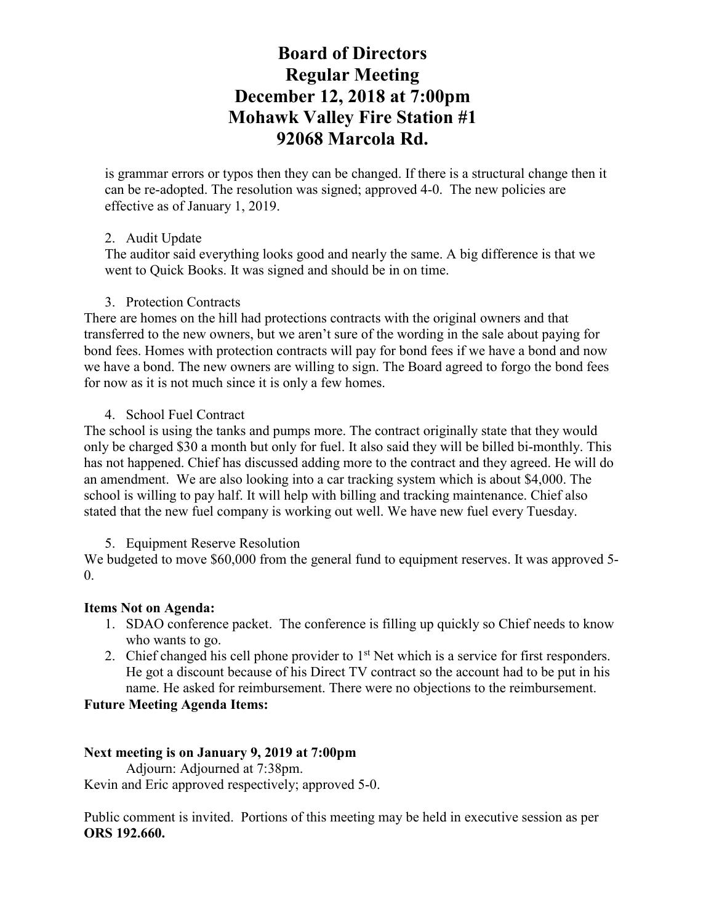is grammar errors or typos then they can be changed. If there is a structural change then it can be re-adopted. The resolution was signed; approved 4-0. The new policies are effective as of January 1, 2019.

### 2. Audit Update

The auditor said everything looks good and nearly the same. A big difference is that we went to Quick Books. It was signed and should be in on time.

### 3. Protection Contracts

There are homes on the hill had protections contracts with the original owners and that transferred to the new owners, but we aren't sure of the wording in the sale about paying for bond fees. Homes with protection contracts will pay for bond fees if we have a bond and now we have a bond. The new owners are willing to sign. The Board agreed to forgo the bond fees for now as it is not much since it is only a few homes.

### 4. School Fuel Contract

The school is using the tanks and pumps more. The contract originally state that they would only be charged \$30 a month but only for fuel. It also said they will be billed bi-monthly. This has not happened. Chief has discussed adding more to the contract and they agreed. He will do an amendment. We are also looking into a car tracking system which is about \$4,000. The school is willing to pay half. It will help with billing and tracking maintenance. Chief also stated that the new fuel company is working out well. We have new fuel every Tuesday.

#### 5. Equipment Reserve Resolution

We budgeted to move \$60,000 from the general fund to equipment reserves. It was approved 5- $\theta$ .

## **Items Not on Agenda:**

- 1. SDAO conference packet. The conference is filling up quickly so Chief needs to know who wants to go.
- 2. Chief changed his cell phone provider to  $1<sup>st</sup>$  Net which is a service for first responders. He got a discount because of his Direct TV contract so the account had to be put in his name. He asked for reimbursement. There were no objections to the reimbursement.

#### **Future Meeting Agenda Items:**

#### **Next meeting is on January 9, 2019 at 7:00pm**

Adjourn: Adjourned at 7:38pm. Kevin and Eric approved respectively; approved 5-0.

Public comment is invited. Portions of this meeting may be held in executive session as per **ORS 192.660.**